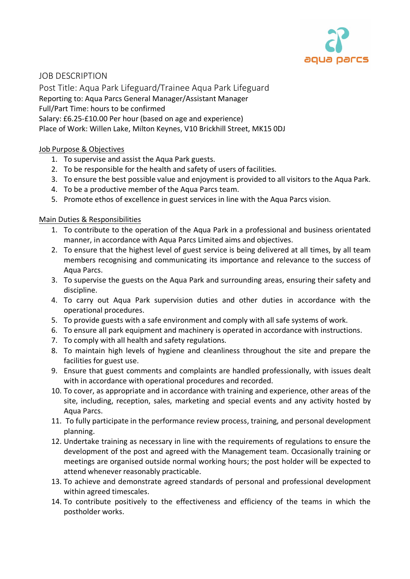

JOB DESCRIPTION

Post Title: Aqua Park Lifeguard/Trainee Aqua Park Lifeguard

Reporting to: Aqua Parcs General Manager/Assistant Manager

Full/Part Time: hours to be confirmed

Salary: £6.25-£10.00 Per hour (based on age and experience)

Place of Work: Willen Lake, Milton Keynes, V10 Brickhill Street, MK15 0DJ

## Job Purpose & Objectives

- 1. To supervise and assist the Aqua Park guests.
- 2. To be responsible for the health and safety of users of facilities.
- 3. To ensure the best possible value and enjoyment is provided to all visitors to the Aqua Park.
- 4. To be a productive member of the Aqua Parcs team.
- 5. Promote ethos of excellence in guest services in line with the Aqua Parcs vision.

## Main Duties & Responsibilities

- 1. To contribute to the operation of the Aqua Park in a professional and business orientated manner, in accordance with Aqua Parcs Limited aims and objectives.
- 2. To ensure that the highest level of guest service is being delivered at all times, by all team members recognising and communicating its importance and relevance to the success of Aqua Parcs.
- 3. To supervise the guests on the Aqua Park and surrounding areas, ensuring their safety and discipline.
- 4. To carry out Aqua Park supervision duties and other duties in accordance with the operational procedures.
- 5. To provide guests with a safe environment and comply with all safe systems of work.
- 6. To ensure all park equipment and machinery is operated in accordance with instructions.
- 7. To comply with all health and safety regulations.
- 8. To maintain high levels of hygiene and cleanliness throughout the site and prepare the facilities for guest use.
- 9. Ensure that guest comments and complaints are handled professionally, with issues dealt with in accordance with operational procedures and recorded.
- 10. To cover, as appropriate and in accordance with training and experience, other areas of the site, including, reception, sales, marketing and special events and any activity hosted by Aqua Parcs.
- 11. To fully participate in the performance review process, training, and personal development planning.
- 12. Undertake training as necessary in line with the requirements of regulations to ensure the development of the post and agreed with the Management team. Occasionally training or meetings are organised outside normal working hours; the post holder will be expected to attend whenever reasonably practicable.
- 13. To achieve and demonstrate agreed standards of personal and professional development within agreed timescales.
- 14. To contribute positively to the effectiveness and efficiency of the teams in which the postholder works.